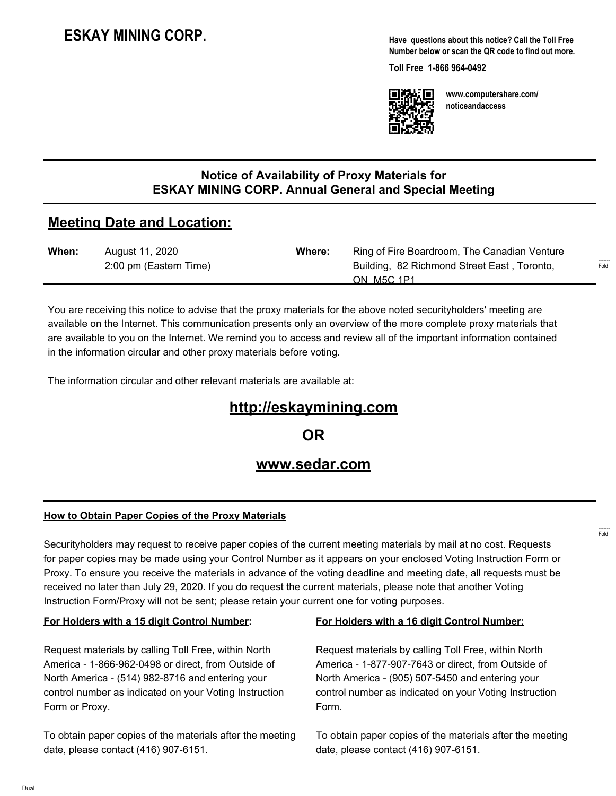# **ESKAY MINING CORP.**

**Have questions about this notice? Call the Toll Free Number below or scan the QR code to find out more.**

**Toll Free 1-866 964-0492**



**www.computershare.com/ noticeandaccess**

### **Notice of Availability of Proxy Materials for ESKAY MINING CORP. Annual General and Special Meeting**

## **Meeting Date and Location:**

| When: | August 11, 2020        | Where: | Ring of Fire Boardroom, The Canadian Venture |                       |
|-------|------------------------|--------|----------------------------------------------|-----------------------|
|       | 2:00 pm (Eastern Time) |        | Building, 82 Richmond Street East, Toronto,  | $- - - - - -$<br>Fold |
|       |                        |        | <b>ON M5C 1P1</b>                            |                       |

You are receiving this notice to advise that the proxy materials for the above noted securityholders' meeting are available on the Internet. This communication presents only an overview of the more complete proxy materials that are available to you on the Internet. We remind you to access and review all of the important information contained in the information circular and other proxy materials before voting.

The information circular and other relevant materials are available at:

# **http://eskaymining.com**

**OR**

### **www.sedar.com**

#### **How to Obtain Paper Copies of the Proxy Materials**

Securityholders may request to receive paper copies of the current meeting materials by mail at no cost. Requests for paper copies may be made using your Control Number as it appears on your enclosed Voting Instruction Form or Proxy. To ensure you receive the materials in advance of the voting deadline and meeting date, all requests must be received no later than July 29, 2020. If you do request the current materials, please note that another Voting Instruction Form/Proxy will not be sent; please retain your current one for voting purposes.

#### **For Holders with a 15 digit Control Number:**

Request materials by calling Toll Free, within North America - 1-866-962-0498 or direct, from Outside of North America - (514) 982-8716 and entering your control number as indicated on your Voting Instruction Form or Proxy.

To obtain paper copies of the materials after the meeting date, please contact (416) 907-6151.

#### **For Holders with a 16 digit Control Number:**

Request materials by calling Toll Free, within North America - 1-877-907-7643 or direct, from Outside of North America - (905) 507-5450 and entering your control number as indicated on your Voting Instruction Form.

To obtain paper copies of the materials after the meeting date, please contact (416) 907-6151.